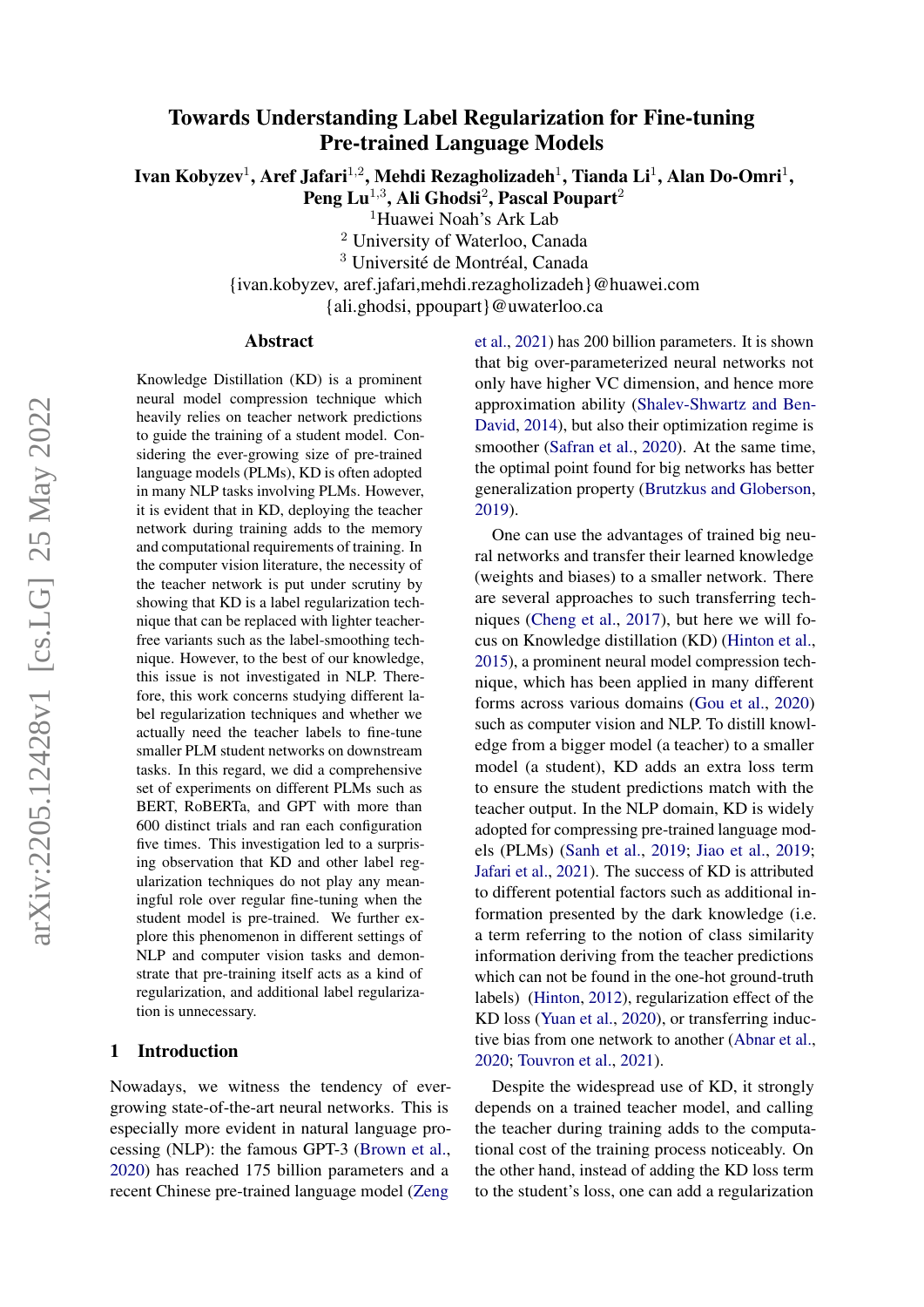# Towards Understanding Label Regularization for Fine-tuning Pre-trained Language Models

Ivan Kobyzev<sup>1</sup>, Aref Jafari<sup>1,2</sup>, Mehdi Rezagholizadeh<sup>1</sup>, Tianda Li<sup>1</sup>, Alan Do-Omri<sup>1</sup>,

Peng Lu $^{1,3}$ , Ali Ghodsi $^2$ , Pascal Poupart $^2$ <sup>1</sup>Huawei Noah's Ark Lab

<sup>2</sup> University of Waterloo, Canada

<sup>3</sup> Université de Montréal, Canada

{ivan.kobyzev, aref.jafari,mehdi.rezagholizadeh}@huawei.com

{ali.ghodsi, ppoupart}@uwaterloo.ca

#### Abstract

Knowledge Distillation (KD) is a prominent neural model compression technique which heavily relies on teacher network predictions to guide the training of a student model. Considering the ever-growing size of pre-trained language models (PLMs), KD is often adopted in many NLP tasks involving PLMs. However, it is evident that in KD, deploying the teacher network during training adds to the memory and computational requirements of training. In the computer vision literature, the necessity of the teacher network is put under scrutiny by showing that KD is a label regularization technique that can be replaced with lighter teacherfree variants such as the label-smoothing technique. However, to the best of our knowledge, this issue is not investigated in NLP. Therefore, this work concerns studying different label regularization techniques and whether we actually need the teacher labels to fine-tune smaller PLM student networks on downstream tasks. In this regard, we did a comprehensive set of experiments on different PLMs such as BERT, RoBERTa, and GPT with more than 600 distinct trials and ran each configuration five times. This investigation led to a surprising observation that KD and other label regularization techniques do not play any meaningful role over regular fine-tuning when the student model is pre-trained. We further explore this phenomenon in different settings of NLP and computer vision tasks and demonstrate that pre-training itself acts as a kind of regularization, and additional label regularization is unnecessary.

## 1 Introduction

Nowadays, we witness the tendency of evergrowing state-of-the-art neural networks. This is especially more evident in natural language processing (NLP): the famous GPT-3 [\(Brown et al.,](#page-8-0) [2020\)](#page-8-0) has reached 175 billion parameters and a recent Chinese pre-trained language model [\(Zeng](#page-9-0)

[et al.,](#page-9-0) [2021\)](#page-9-0) has 200 billion parameters. It is shown that big over-parameterized neural networks not only have higher VC dimension, and hence more approximation ability [\(Shalev-Shwartz and Ben-](#page-9-1)[David,](#page-9-1) [2014\)](#page-9-1), but also their optimization regime is smoother [\(Safran et al.,](#page-9-2) [2020\)](#page-9-2). At the same time, the optimal point found for big networks has better generalization property [\(Brutzkus and Globerson,](#page-8-1) [2019\)](#page-8-1).

One can use the advantages of trained big neural networks and transfer their learned knowledge (weights and biases) to a smaller network. There are several approaches to such transferring techniques [\(Cheng et al.,](#page-8-2) [2017\)](#page-8-2), but here we will focus on Knowledge distillation (KD) [\(Hinton et al.,](#page-8-3) [2015\)](#page-8-3), a prominent neural model compression technique, which has been applied in many different forms across various domains [\(Gou et al.,](#page-8-4) [2020\)](#page-8-4) such as computer vision and NLP. To distill knowledge from a bigger model (a teacher) to a smaller model (a student), KD adds an extra loss term to ensure the student predictions match with the teacher output. In the NLP domain, KD is widely adopted for compressing pre-trained language models (PLMs) [\(Sanh et al.,](#page-9-3) [2019;](#page-9-3) [Jiao et al.,](#page-8-5) [2019;](#page-8-5) [Jafari et al.,](#page-8-6) [2021\)](#page-8-6). The success of KD is attributed to different potential factors such as additional information presented by the dark knowledge (i.e. a term referring to the notion of class similarity information deriving from the teacher predictions which can not be found in the one-hot ground-truth labels) [\(Hinton,](#page-8-7) [2012\)](#page-8-7), regularization effect of the KD loss [\(Yuan et al.,](#page-9-4) [2020\)](#page-9-4), or transferring inductive bias from one network to another [\(Abnar et al.,](#page-8-8) [2020;](#page-8-8) [Touvron et al.,](#page-9-5) [2021\)](#page-9-5).

Despite the widespread use of KD, it strongly depends on a trained teacher model, and calling the teacher during training adds to the computational cost of the training process noticeably. On the other hand, instead of adding the KD loss term to the student's loss, one can add a regularization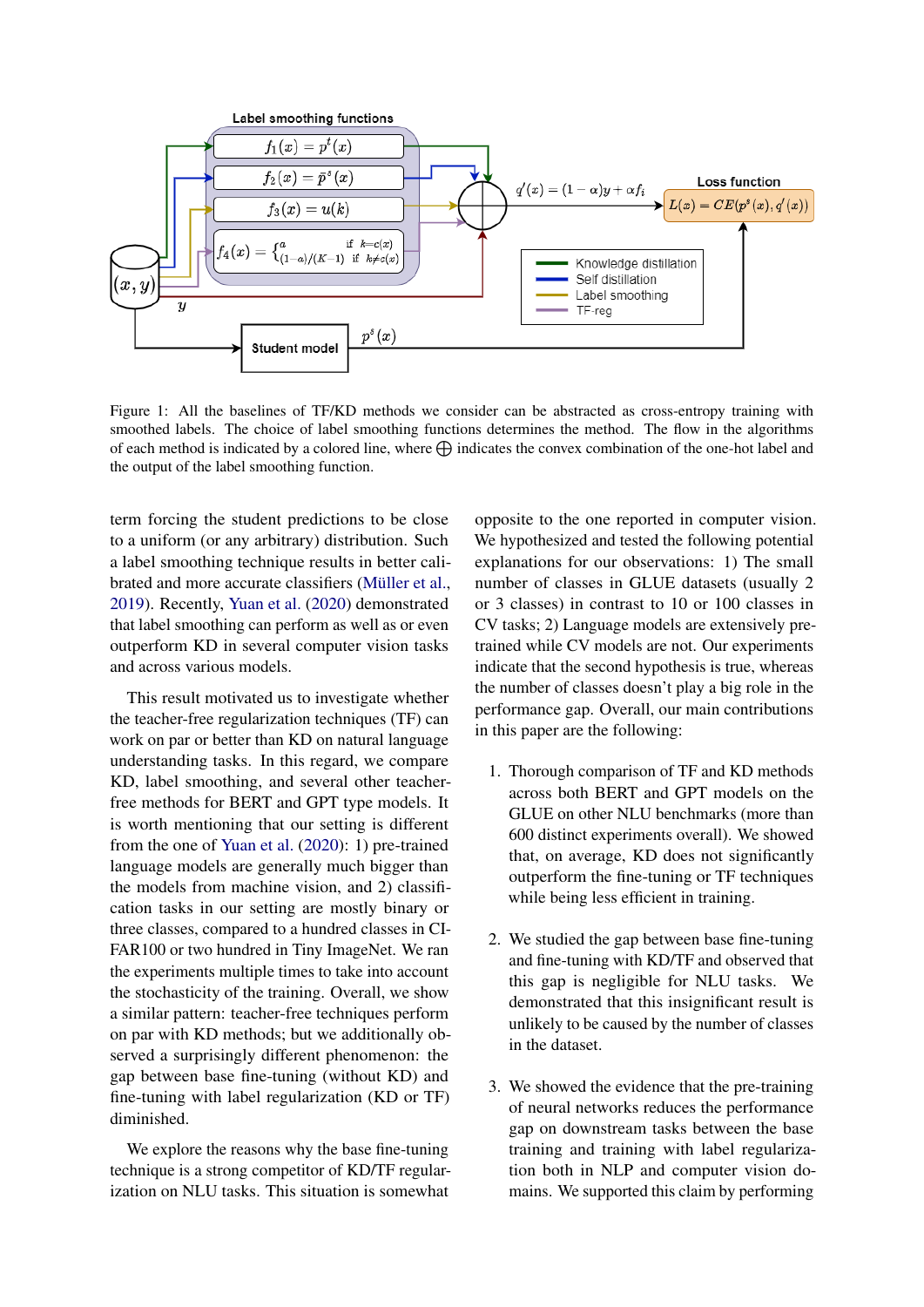<span id="page-1-0"></span>

Figure 1: All the baselines of TF/KD methods we consider can be abstracted as cross-entropy training with smoothed labels. The choice of label smoothing functions determines the method. The flow in the algorithms of each method is indicated by a colored line, where  $\bigoplus$  indicates the convex combination of the one-hot label and the output of the label smoothing function.

term forcing the student predictions to be close to a uniform (or any arbitrary) distribution. Such a label smoothing technique results in better calibrated and more accurate classifiers [\(Müller et al.,](#page-8-9) [2019\)](#page-8-9). Recently, [Yuan et al.](#page-9-4) [\(2020\)](#page-9-4) demonstrated that label smoothing can perform as well as or even outperform KD in several computer vision tasks and across various models.

This result motivated us to investigate whether the teacher-free regularization techniques (TF) can work on par or better than KD on natural language understanding tasks. In this regard, we compare KD, label smoothing, and several other teacherfree methods for BERT and GPT type models. It is worth mentioning that our setting is different from the one of [Yuan et al.](#page-9-4) [\(2020\)](#page-9-4): 1) pre-trained language models are generally much bigger than the models from machine vision, and 2) classification tasks in our setting are mostly binary or three classes, compared to a hundred classes in CI-FAR100 or two hundred in Tiny ImageNet. We ran the experiments multiple times to take into account the stochasticity of the training. Overall, we show a similar pattern: teacher-free techniques perform on par with KD methods; but we additionally observed a surprisingly different phenomenon: the gap between base fine-tuning (without KD) and fine-tuning with label regularization (KD or TF) diminished.

We explore the reasons why the base fine-tuning technique is a strong competitor of KD/TF regularization on NLU tasks. This situation is somewhat

opposite to the one reported in computer vision. We hypothesized and tested the following potential explanations for our observations: 1) The small number of classes in GLUE datasets (usually 2 or 3 classes) in contrast to 10 or 100 classes in CV tasks; 2) Language models are extensively pretrained while CV models are not. Our experiments indicate that the second hypothesis is true, whereas the number of classes doesn't play a big role in the performance gap. Overall, our main contributions in this paper are the following:

- 1. Thorough comparison of TF and KD methods across both BERT and GPT models on the GLUE on other NLU benchmarks (more than 600 distinct experiments overall). We showed that, on average, KD does not significantly outperform the fine-tuning or TF techniques while being less efficient in training.
- 2. We studied the gap between base fine-tuning and fine-tuning with KD/TF and observed that this gap is negligible for NLU tasks. We demonstrated that this insignificant result is unlikely to be caused by the number of classes in the dataset.
- 3. We showed the evidence that the pre-training of neural networks reduces the performance gap on downstream tasks between the base training and training with label regularization both in NLP and computer vision domains. We supported this claim by performing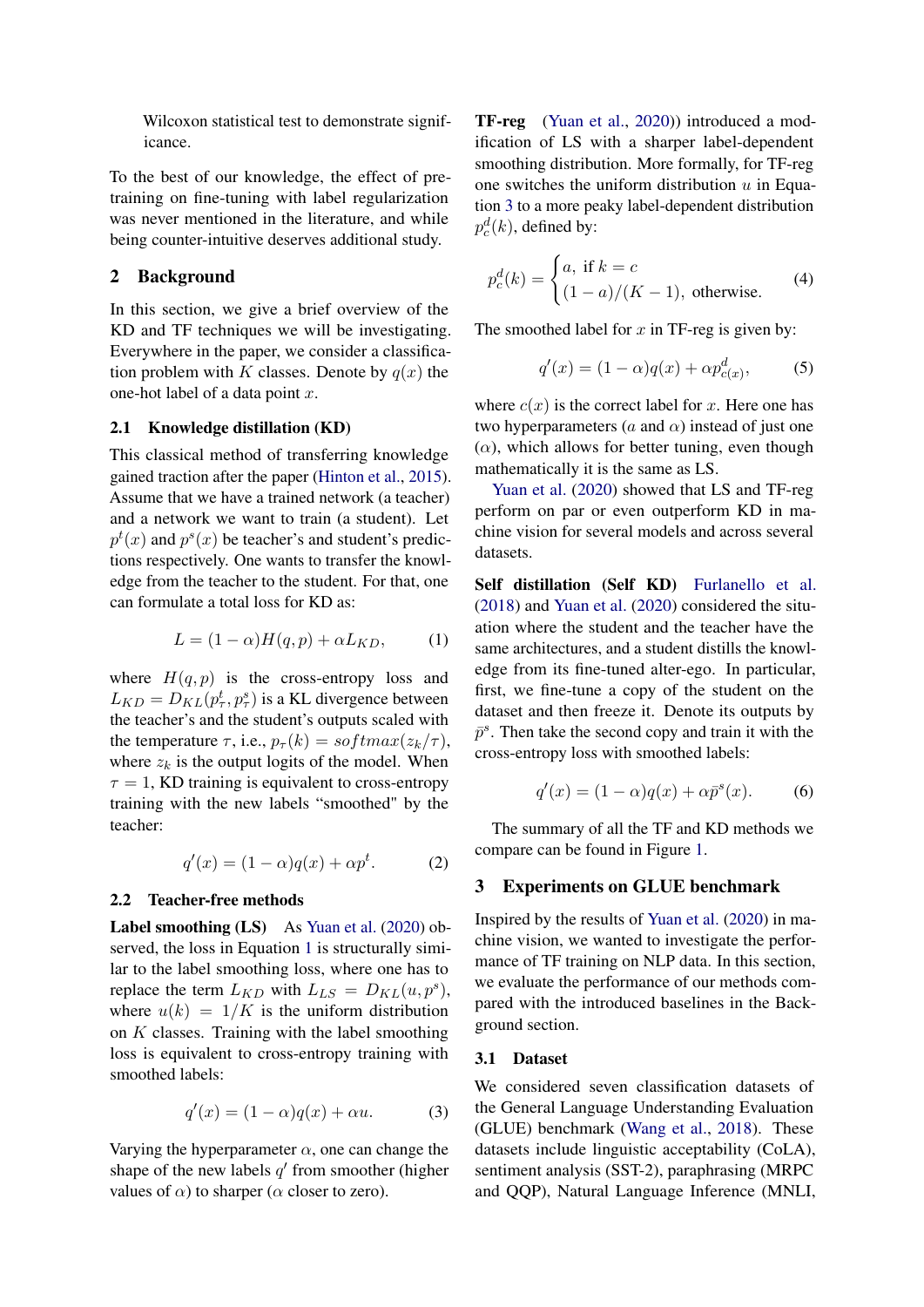Wilcoxon statistical test to demonstrate significance.

To the best of our knowledge, the effect of pretraining on fine-tuning with label regularization was never mentioned in the literature, and while being counter-intuitive deserves additional study.

### 2 Background

In this section, we give a brief overview of the KD and TF techniques we will be investigating. Everywhere in the paper, we consider a classification problem with K classes. Denote by  $q(x)$  the one-hot label of a data point  $x$ .

#### 2.1 Knowledge distillation (KD)

This classical method of transferring knowledge gained traction after the paper [\(Hinton et al.,](#page-8-3) [2015\)](#page-8-3). Assume that we have a trained network (a teacher) and a network we want to train (a student). Let  $p^t(x)$  and  $p^s(x)$  be teacher's and student's predictions respectively. One wants to transfer the knowledge from the teacher to the student. For that, one can formulate a total loss for KD as:

$$
L = (1 - \alpha)H(q, p) + \alpha L_{KD}, \qquad (1)
$$

where  $H(q, p)$  is the cross-entropy loss and  $L_{KD} = D_{KL}(p_{\tau}^t, p_{\tau}^s)$  is a KL divergence between the teacher's and the student's outputs scaled with the temperature  $\tau$ , i.e.,  $p_{\tau}(k) = softmax(z_k/\tau)$ , where  $z_k$  is the output logits of the model. When  $\tau = 1$ , KD training is equivalent to cross-entropy training with the new labels "smoothed" by the teacher:

<span id="page-2-2"></span>
$$
q'(x) = (1 - \alpha)q(x) + \alpha p^t. \tag{2}
$$

#### 2.2 Teacher-free methods

Label smoothing (LS) As [Yuan et al.](#page-9-4) [\(2020\)](#page-9-4) observed, the loss in Equation [1](#page-2-0) is structurally similar to the label smoothing loss, where one has to replace the term  $L_{KD}$  with  $L_{LS} = D_{KL}(u, p^s)$ , where  $u(k) = 1/K$  is the uniform distribution on  $K$  classes. Training with the label smoothing loss is equivalent to cross-entropy training with smoothed labels:

<span id="page-2-1"></span>
$$
q'(x) = (1 - \alpha)q(x) + \alpha u.
$$
 (3)

Varying the hyperparameter  $\alpha$ , one can change the shape of the new labels  $q'$  from smoother (higher values of  $\alpha$ ) to sharper ( $\alpha$  closer to zero).

TF-reg [\(Yuan et al.,](#page-9-4) [2020\)](#page-9-4)) introduced a modification of LS with a sharper label-dependent smoothing distribution. More formally, for TF-reg one switches the uniform distribution  $u$  in Equation [3](#page-2-1) to a more peaky label-dependent distribution  $p_c^d(k)$ , defined by:

$$
p_c^d(k) = \begin{cases} a, \text{ if } k = c \\ (1 - a)/(K - 1), \text{ otherwise.} \end{cases}
$$
 (4)

The smoothed label for  $x$  in TF-reg is given by:

<span id="page-2-3"></span>
$$
q'(x) = (1 - \alpha)q(x) + \alpha p_{c(x)}^d,
$$
 (5)

where  $c(x)$  is the correct label for x. Here one has two hyperparameters (a and  $\alpha$ ) instead of just one  $(\alpha)$ , which allows for better tuning, even though mathematically it is the same as LS.

[Yuan et al.](#page-9-4) [\(2020\)](#page-9-4) showed that LS and TF-reg perform on par or even outperform KD in machine vision for several models and across several datasets.

<span id="page-2-0"></span>Self distillation (Self KD) [Furlanello et al.](#page-8-10) [\(2018\)](#page-8-10) and [Yuan et al.](#page-9-4) [\(2020\)](#page-9-4) considered the situation where the student and the teacher have the same architectures, and a student distills the knowledge from its fine-tuned alter-ego. In particular, first, we fine-tune a copy of the student on the dataset and then freeze it. Denote its outputs by  $\bar{p}^s$ . Then take the second copy and train it with the cross-entropy loss with smoothed labels:

$$
q'(x) = (1 - \alpha)q(x) + \alpha \bar{p}^s(x). \tag{6}
$$

The summary of all the TF and KD methods we compare can be found in Figure [1.](#page-1-0)

#### 3 Experiments on GLUE benchmark

Inspired by the results of [Yuan et al.](#page-9-4) [\(2020\)](#page-9-4) in machine vision, we wanted to investigate the performance of TF training on NLP data. In this section, we evaluate the performance of our methods compared with the introduced baselines in the Background section.

### 3.1 Dataset

We considered seven classification datasets of the General Language Understanding Evaluation (GLUE) benchmark [\(Wang et al.,](#page-9-6) [2018\)](#page-9-6). These datasets include linguistic acceptability (CoLA), sentiment analysis (SST-2), paraphrasing (MRPC and QQP), Natural Language Inference (MNLI,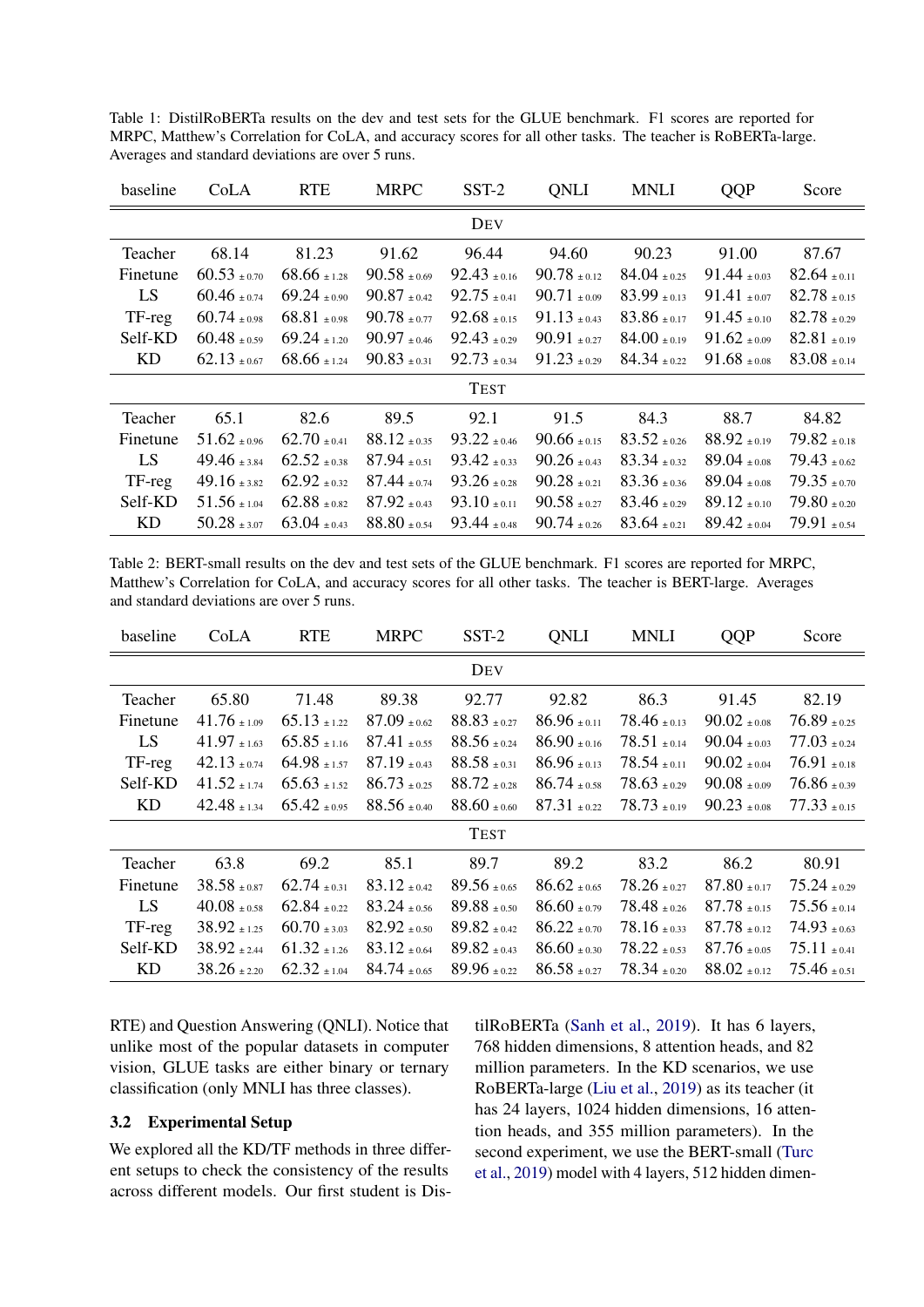<span id="page-3-0"></span>Table 1: DistilRoBERTa results on the dev and test sets for the GLUE benchmark. F1 scores are reported for MRPC, Matthew's Correlation for CoLA, and accuracy scores for all other tasks. The teacher is RoBERTa-large. Averages and standard deviations are over 5 runs.

| baseline | CoLA             | <b>RTE</b>       | <b>MRPC</b>      | SST-2            | <b>ONLI</b>      | MNLI             | QQP              | Score            |
|----------|------------------|------------------|------------------|------------------|------------------|------------------|------------------|------------------|
|          |                  |                  |                  | DEV              |                  |                  |                  |                  |
| Teacher  | 68.14            | 81.23            | 91.62            | 96.44            | 94.60            | 90.23            | 91.00            | 87.67            |
| Finetune | $60.53 + 0.70$   | $68.66 \pm 1.28$ | $90.58 \pm 0.69$ | $92.43 \pm 0.16$ | $90.78 + 0.12$   | $84.04 \pm 0.25$ | $91.44 \pm 0.03$ | $82.64 \pm 0.11$ |
| LS       | $60.46 \pm 0.74$ | $69.24 \pm 0.90$ | $90.87 \pm 0.42$ | $92.75 \pm 0.41$ | $90.71 \pm 0.09$ | $83.99 \pm 0.13$ | $91.41 \pm 0.07$ | $82.78 \pm 0.15$ |
| TF-reg   | $60.74 \pm 0.98$ | $68.81 \pm 0.98$ | $90.78 \pm 0.77$ | $92.68 \pm 0.15$ | $91.13 \pm 0.43$ | $83.86 \pm 0.17$ | $91.45 \pm 0.10$ | $82.78 \pm 0.29$ |
| Self-KD  | $60.48 \pm 0.59$ | $69.24 + 1.20$   | $90.97 \pm 0.46$ | $92.43 \pm 0.29$ | $90.91 \pm 0.27$ | $84.00 \pm 0.19$ | $91.62 \pm 0.09$ | $82.81 \pm 0.19$ |
| KD       | $62.13 \pm 0.67$ | $68.66 + 1.24$   | $90.83 \pm 0.31$ | $92.73 \pm 0.34$ | $91.23 \pm 0.29$ | $84.34 \pm 0.22$ | $91.68 + 0.08$   | $83.08 \pm 0.14$ |
|          |                  |                  |                  | <b>TEST</b>      |                  |                  |                  |                  |
| Teacher  | 65.1             | 82.6             | 89.5             | 92.1             | 91.5             | 84.3             | 88.7             | 84.82            |
| Finetune | $51.62 \pm 0.96$ | $62.70 \pm 0.41$ | $88.12 \pm 0.35$ | $93.22 \pm 0.46$ | $90.66 \pm 0.15$ | $83.52 \pm 0.26$ | $88.92 \pm 0.19$ | $79.82 \pm 0.18$ |
| LS       | $49.46 \pm 3.84$ | $62.52 \pm 0.38$ | $87.94 \pm 0.51$ | $93.42 \pm 0.33$ | $90.26 \pm 0.43$ | $83.34 \pm 0.32$ | 89.04 $\pm 0.08$ | $79.43 \pm 0.62$ |
| TF-reg   | $49.16 \pm 3.82$ | $62.92 \pm 0.32$ | $87.44 + 0.74$   | $93.26 + 0.28$   | $90.28 + 0.21$   | $83.36 + 0.36$   | $89.04 + 0.08$   | $79.35 \pm 0.70$ |
| Self-KD  | $51.56 + 1.04$   | $62.88 + 0.82$   | $87.92 + 0.43$   | $93.10 + 0.11$   | $90.58 + 0.27$   | $83.46 + 0.29$   | $89.12 + 0.10$   | $79.80 + 0.20$   |
| ΚD       | $50.28 \pm 3.07$ | $63.04 \pm 0.43$ | $88.80 \pm 0.54$ | $93.44 \pm 0.48$ | $90.74 \pm 0.26$ | $83.64 \pm 0.21$ | $89.42 \pm 0.04$ | $79.91 \pm 0.54$ |

<span id="page-3-1"></span>Table 2: BERT-small results on the dev and test sets of the GLUE benchmark. F1 scores are reported for MRPC, Matthew's Correlation for CoLA, and accuracy scores for all other tasks. The teacher is BERT-large. Averages and standard deviations are over 5 runs.

| baseline  | CoLA              | <b>RTE</b>                        | <b>MRPC</b>      | $SST-2$          | <b>ONLI</b>      | <b>MNLI</b>                    | QQP              | Score            |
|-----------|-------------------|-----------------------------------|------------------|------------------|------------------|--------------------------------|------------------|------------------|
|           |                   |                                   |                  | DEV              |                  |                                |                  |                  |
| Teacher   | 65.80             | 71.48                             | 89.38            | 92.77            | 92.82            | 86.3                           | 91.45            | 82.19            |
| Finetune  | $41.76 \div 1.09$ | $65.13 \pm 1.22$                  | $87.09 \pm 0.62$ | $88.83 \pm 0.27$ | $86.96 \pm 0.11$ | $78.46 \pm 0.13$               | $90.02 \pm 0.08$ | $76.89 \pm 0.25$ |
| LS        | $41.97 \pm 1.63$  | $65.85 \scriptstyle{\,\pm\,1.16}$ | $87.41 \pm 0.55$ | $88.56 \pm 0.24$ | $86.90 \pm 0.16$ | $78.51 \pm 0.14$               | $90.04 \pm 0.03$ | $77.03 \pm 0.24$ |
| TF-reg    | $42.13 \pm 0.74$  | $64.98 \pm 1.57$                  | $87.19 \pm 0.43$ | $88.58 \pm 0.31$ | $86.96 \pm 0.13$ | $78.54 \pm 0.11$               | $90.02 \pm 0.04$ | $76.91 \pm 0.18$ |
| Self-KD   | $41.52 + 1.74$    | $65.63 + 1.52$                    | $86.73 \pm 0.25$ | $88.72 \pm 0.28$ | $86.74 + 0.58$   | $78.63 + 0.29$                 | $90.08 + 0.09$   | $76.86 \pm 0.39$ |
| KD        | $42.48 + 1.34$    | $65.42 + 0.95$                    | $88.56 \pm 0.40$ | $88.60 \pm 0.60$ | $87.31 \pm 0.22$ | $78.73 \pm 0.19$               | $90.23 \pm 0.08$ | $77.33 \pm 0.15$ |
|           |                   |                                   |                  | <b>TEST</b>      |                  |                                |                  |                  |
| Teacher   | 63.8              | 69.2                              | 85.1             | 89.7             | 89.2             | 83.2                           | 86.2             | 80.91            |
| Finetune  | $38.58 \pm 0.87$  | $62.74 \pm 0.31$                  | $83.12 \pm 0.42$ | $89.56 \pm 0.65$ | $86.62 \pm 0.65$ | $78.26 \pm 0.27$               | $87.80 \pm 0.17$ | $75.24 \pm 0.29$ |
| LS        | $40.08 \pm 0.58$  | $62.84 + 0.22$                    | $83.24 \pm 0.56$ | $89.88 + 0.50$   | $86.60 + 0.79$   | $78.48 \pm 0.26$               | $87.78 \pm 0.15$ | $75.56 \pm 0.14$ |
| TF-reg    | $38.92 \pm 1.25$  | $60.70 + 3.03$                    | $82.92 + 0.50$   | $89.82 + 0.42$   | $86.22 + 0.70$   | $78.16 \scriptstyle{\pm 0.33}$ | $87.78 + 0.12$   | $74.93 \pm 0.63$ |
| Self-KD   | $38.92 + 2.44$    | $61.32 + 1.26$                    | $83.12 \pm 0.64$ | $89.82 \pm 0.43$ | $86.60 + 0.30$   | $78.22 + 0.53$                 | $87.76 + 0.05$   | $75.11 \pm 0.41$ |
| <b>KD</b> | $38.26 \pm 2.20$  | $62.32 \pm 1.04$                  | $84.74 \pm 0.65$ | $89.96 \pm 0.22$ | $86.58 \pm 0.27$ | $78.34 \pm 0.20$               | $88.02 \pm 0.12$ | $75.46 \pm 0.51$ |

RTE) and Question Answering (QNLI). Notice that unlike most of the popular datasets in computer vision, GLUE tasks are either binary or ternary classification (only MNLI has three classes).

### 3.2 Experimental Setup

We explored all the KD/TF methods in three different setups to check the consistency of the results across different models. Our first student is DistilRoBERTa [\(Sanh et al.,](#page-9-3) [2019\)](#page-9-3). It has 6 layers, 768 hidden dimensions, 8 attention heads, and 82 million parameters. In the KD scenarios, we use RoBERTa-large [\(Liu et al.,](#page-8-11) [2019\)](#page-8-11) as its teacher (it has 24 layers, 1024 hidden dimensions, 16 attention heads, and 355 million parameters). In the second experiment, we use the BERT-small [\(Turc](#page-9-7) [et al.,](#page-9-7) [2019\)](#page-9-7) model with 4 layers, 512 hidden dimen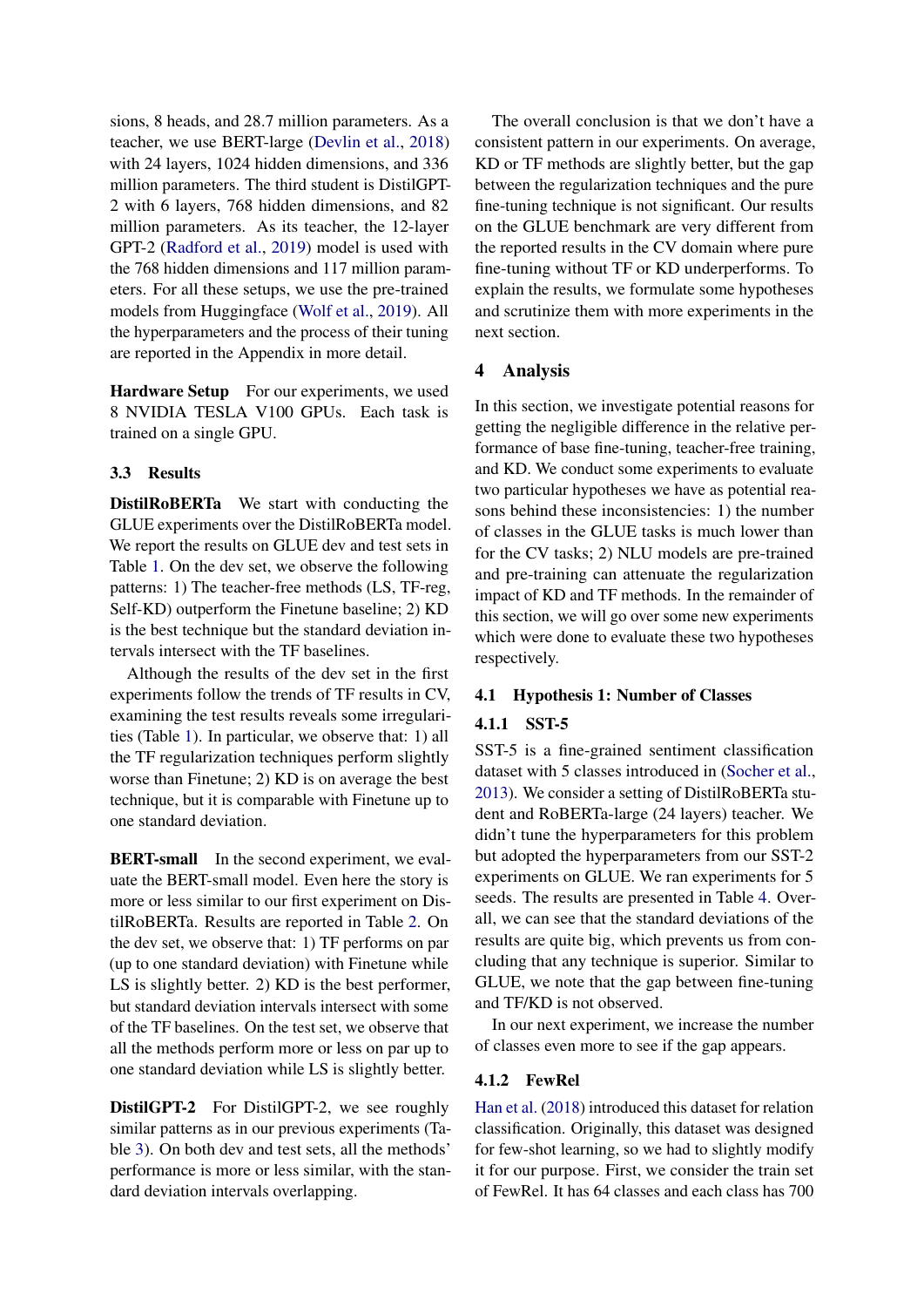sions, 8 heads, and 28.7 million parameters. As a teacher, we use BERT-large [\(Devlin et al.,](#page-8-12) [2018\)](#page-8-12) with 24 layers, 1024 hidden dimensions, and 336 million parameters. The third student is DistilGPT-2 with 6 layers, 768 hidden dimensions, and 82 million parameters. As its teacher, the 12-layer GPT-2 [\(Radford et al.,](#page-9-8) [2019\)](#page-9-8) model is used with the 768 hidden dimensions and 117 million parameters. For all these setups, we use the pre-trained models from Huggingface [\(Wolf et al.,](#page-9-9) [2019\)](#page-9-9). All the hyperparameters and the process of their tuning are reported in the Appendix in more detail.

Hardware Setup For our experiments, we used 8 NVIDIA TESLA V100 GPUs. Each task is trained on a single GPU.

## 3.3 Results

DistilRoBERTa We start with conducting the GLUE experiments over the DistilRoBERTa model. We report the results on GLUE dev and test sets in Table [1.](#page-3-0) On the dev set, we observe the following patterns: 1) The teacher-free methods (LS, TF-reg, Self-KD) outperform the Finetune baseline; 2) KD is the best technique but the standard deviation intervals intersect with the TF baselines.

Although the results of the dev set in the first experiments follow the trends of TF results in CV, examining the test results reveals some irregularities (Table [1\)](#page-3-0). In particular, we observe that: 1) all the TF regularization techniques perform slightly worse than Finetune; 2) KD is on average the best technique, but it is comparable with Finetune up to one standard deviation.

BERT-small In the second experiment, we evaluate the BERT-small model. Even here the story is more or less similar to our first experiment on DistilRoBERTa. Results are reported in Table [2.](#page-3-1) On the dev set, we observe that: 1) TF performs on par (up to one standard deviation) with Finetune while LS is slightly better. 2) KD is the best performer, but standard deviation intervals intersect with some of the TF baselines. On the test set, we observe that all the methods perform more or less on par up to one standard deviation while LS is slightly better.

DistilGPT-2 For DistilGPT-2, we see roughly similar patterns as in our previous experiments (Table [3\)](#page-5-0). On both dev and test sets, all the methods' performance is more or less similar, with the standard deviation intervals overlapping.

The overall conclusion is that we don't have a consistent pattern in our experiments. On average, KD or TF methods are slightly better, but the gap between the regularization techniques and the pure fine-tuning technique is not significant. Our results on the GLUE benchmark are very different from the reported results in the CV domain where pure fine-tuning without TF or KD underperforms. To explain the results, we formulate some hypotheses and scrutinize them with more experiments in the next section.

## 4 Analysis

In this section, we investigate potential reasons for getting the negligible difference in the relative performance of base fine-tuning, teacher-free training, and KD. We conduct some experiments to evaluate two particular hypotheses we have as potential reasons behind these inconsistencies: 1) the number of classes in the GLUE tasks is much lower than for the CV tasks; 2) NLU models are pre-trained and pre-training can attenuate the regularization impact of KD and TF methods. In the remainder of this section, we will go over some new experiments which were done to evaluate these two hypotheses respectively.

### 4.1 Hypothesis 1: Number of Classes

## 4.1.1 SST-5

SST-5 is a fine-grained sentiment classification dataset with 5 classes introduced in [\(Socher et al.,](#page-9-10) [2013\)](#page-9-10). We consider a setting of DistilRoBERTa student and RoBERTa-large (24 layers) teacher. We didn't tune the hyperparameters for this problem but adopted the hyperparameters from our SST-2 experiments on GLUE. We ran experiments for 5 seeds. The results are presented in Table [4.](#page-5-1) Overall, we can see that the standard deviations of the results are quite big, which prevents us from concluding that any technique is superior. Similar to GLUE, we note that the gap between fine-tuning and TF/KD is not observed.

In our next experiment, we increase the number of classes even more to see if the gap appears.

### 4.1.2 FewRel

[Han et al.](#page-8-13) [\(2018\)](#page-8-13) introduced this dataset for relation classification. Originally, this dataset was designed for few-shot learning, so we had to slightly modify it for our purpose. First, we consider the train set of FewRel. It has 64 classes and each class has 700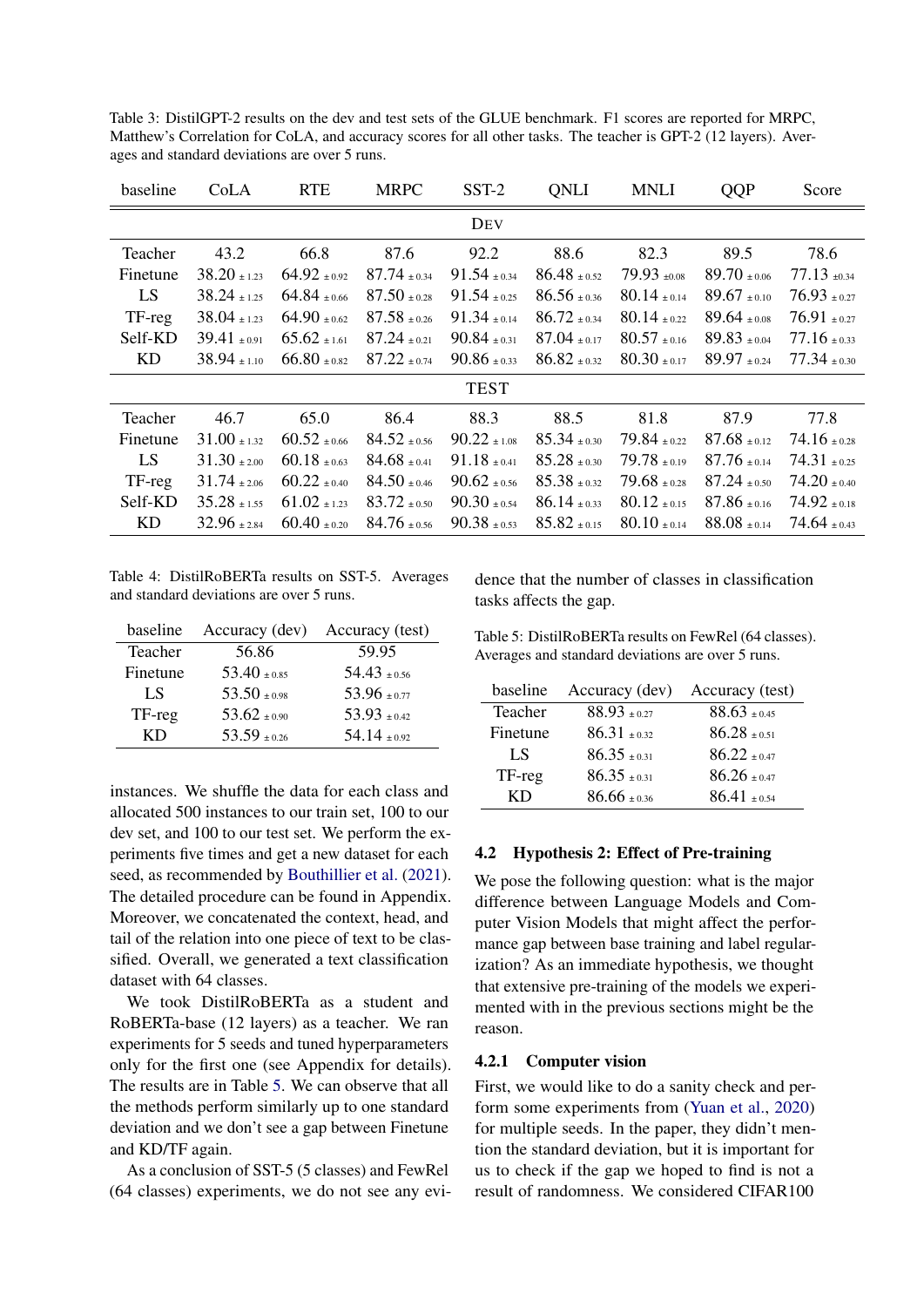<span id="page-5-0"></span>Table 3: DistilGPT-2 results on the dev and test sets of the GLUE benchmark. F1 scores are reported for MRPC, Matthew's Correlation for CoLA, and accuracy scores for all other tasks. The teacher is GPT-2 (12 layers). Averages and standard deviations are over 5 runs.

| baseline | CoLA             | <b>RTE</b>       | <b>MRPC</b>      | SST-2            | QNLI             | MNLI             | QQP              | Score            |
|----------|------------------|------------------|------------------|------------------|------------------|------------------|------------------|------------------|
|          |                  |                  |                  | DEV              |                  |                  |                  |                  |
| Teacher  | 43.2             | 66.8             | 87.6             | 92.2             | 88.6             | 82.3             | 89.5             | 78.6             |
| Finetune | $38.20 \pm 1.23$ | $64.92 + 0.92$   | $87.74 + 0.34$   | $91.54 \pm 0.34$ | $86.48 + 0.52$   | $79.93 +0.08$    | $89.70 + 0.06$   | $77.13 \pm 0.34$ |
| LS       | $38.24 \pm 1.25$ | $64.84 \pm 0.66$ | $87.50 \pm 0.28$ | $91.54 \pm 0.25$ | $86.56 \pm 0.36$ | $80.14 \pm 0.14$ | $89.67 \pm 0.10$ | $76.93 \pm 0.27$ |
| TF-reg   | $38.04 \pm 1.23$ | $64.90 \pm 0.62$ | $87.58 \pm 0.26$ | $91.34 \pm 0.14$ | $86.72 \pm 0.34$ | $80.14 \pm 0.22$ | $89.64 \pm 0.08$ | $76.91 \pm 0.27$ |
| Self-KD  | $39.41 \pm 0.91$ | $65.62 + 1.61$   | $87.24 + 0.21$   | $90.84 + 0.31$   | $87.04 + 0.17$   | $80.57 + 0.16$   | $89.83 + 0.04$   | $77.16 \pm 0.33$ |
| KD       | $38.94 \pm 1.10$ | $66.80 \pm 0.82$ | $87.22 \pm 0.74$ | $90.86 \pm 0.33$ | $86.82 \pm 0.32$ | $80.30 \pm 0.17$ | $89.97 \pm 0.24$ | $77.34 \pm 0.30$ |
|          |                  |                  |                  | <b>TEST</b>      |                  |                  |                  |                  |
| Teacher  | 46.7             | 65.0             | 86.4             | 88.3             | 88.5             | 81.8             | 87.9             | 77.8             |
| Finetune | $31.00 \pm 1.32$ | $60.52 + 0.66$   | $84.52 + 0.56$   | $90.22 \pm 1.08$ | $85.34 + 0.30$   | $79.84 + 0.22$   | $87.68 \pm 0.12$ | $74.16 \pm 0.28$ |
| LS       | $31.30 \pm 2.00$ | $60.18 \pm 0.63$ | $84.68 \pm 0.41$ | $91.18 \pm 0.41$ | $85.28 + 0.30$   | $79.78 \pm 0.19$ | $87.76 + 0.14$   | $74.31 \pm 0.25$ |
| TF-reg   | $31.74 \pm 2.06$ | $60.22 \pm 0.40$ | $84.50 \pm 0.46$ | $90.62 \pm 0.56$ | $85.38 \pm 0.32$ | $79.68 \pm 0.28$ | $87.24 \pm 0.50$ | $74.20 \pm 0.40$ |
| Self-KD  | $35.28 \pm 1.55$ | $61.02 + 1.23$   | $83.72 \pm 0.50$ | $90.30 \pm 0.54$ | $86.14 + 0.33$   | $80.12 \pm 0.15$ | $87.86 + 0.16$   | $74.92 \pm 0.18$ |
| KD       | $32.96 \pm 2.84$ | $60.40 \pm 0.20$ | $84.76 \pm 0.56$ | $90.38 \pm 0.53$ | $85.82 \pm 0.15$ | $80.10 \pm 0.14$ | $88.08 \pm 0.14$ | $74.64 \pm 0.43$ |

<span id="page-5-1"></span>Table 4: DistilRoBERTa results on SST-5. Averages and standard deviations are over 5 runs.

| baseline | Accuracy (dev)   | Accuracy (test)  |
|----------|------------------|------------------|
| Teacher  | 56.86            | 59.95            |
| Finetune | $53.40 \pm 0.85$ | $54.43 + 0.56$   |
| LS.      | $53.50 \pm 0.98$ | 53.96 $\pm$ 0.77 |
| TF-reg   | $53.62 \pm 0.90$ | $53.93 \pm 0.42$ |
| KD       | $53.59 \pm 0.26$ | $54.14 + 0.92$   |

instances. We shuffle the data for each class and allocated 500 instances to our train set, 100 to our dev set, and 100 to our test set. We perform the experiments five times and get a new dataset for each seed, as recommended by [Bouthillier et al.](#page-8-14) [\(2021\)](#page-8-14). The detailed procedure can be found in Appendix. Moreover, we concatenated the context, head, and tail of the relation into one piece of text to be classified. Overall, we generated a text classification dataset with 64 classes.

We took DistilRoBERTa as a student and RoBERTa-base (12 layers) as a teacher. We ran experiments for 5 seeds and tuned hyperparameters only for the first one (see Appendix for details). The results are in Table [5.](#page-5-2) We can observe that all the methods perform similarly up to one standard deviation and we don't see a gap between Finetune and KD/TF again.

As a conclusion of SST-5 (5 classes) and FewRel (64 classes) experiments, we do not see any evidence that the number of classes in classification tasks affects the gap.

<span id="page-5-2"></span>Table 5: DistilRoBERTa results on FewRel (64 classes). Averages and standard deviations are over 5 runs.

| baseline | Accuracy (dev)   | Accuracy (test)  |
|----------|------------------|------------------|
| Teacher  | $88.93 + 0.27$   | $88.63 \pm 0.45$ |
| Finetune | $86.31 + 0.32$   | $86.28 \pm 0.51$ |
| LS       | $86.35 + 0.31$   | $86.22 + 0.47$   |
| TF-reg   | $86.35 \pm 0.31$ | $86.26 + 0.47$   |
| KD       | $86.66 \pm 0.36$ | $86.41 + 0.54$   |

#### 4.2 Hypothesis 2: Effect of Pre-training

We pose the following question: what is the major difference between Language Models and Computer Vision Models that might affect the performance gap between base training and label regularization? As an immediate hypothesis, we thought that extensive pre-training of the models we experimented with in the previous sections might be the reason.

#### 4.2.1 Computer vision

First, we would like to do a sanity check and perform some experiments from [\(Yuan et al.,](#page-9-4) [2020\)](#page-9-4) for multiple seeds. In the paper, they didn't mention the standard deviation, but it is important for us to check if the gap we hoped to find is not a result of randomness. We considered CIFAR100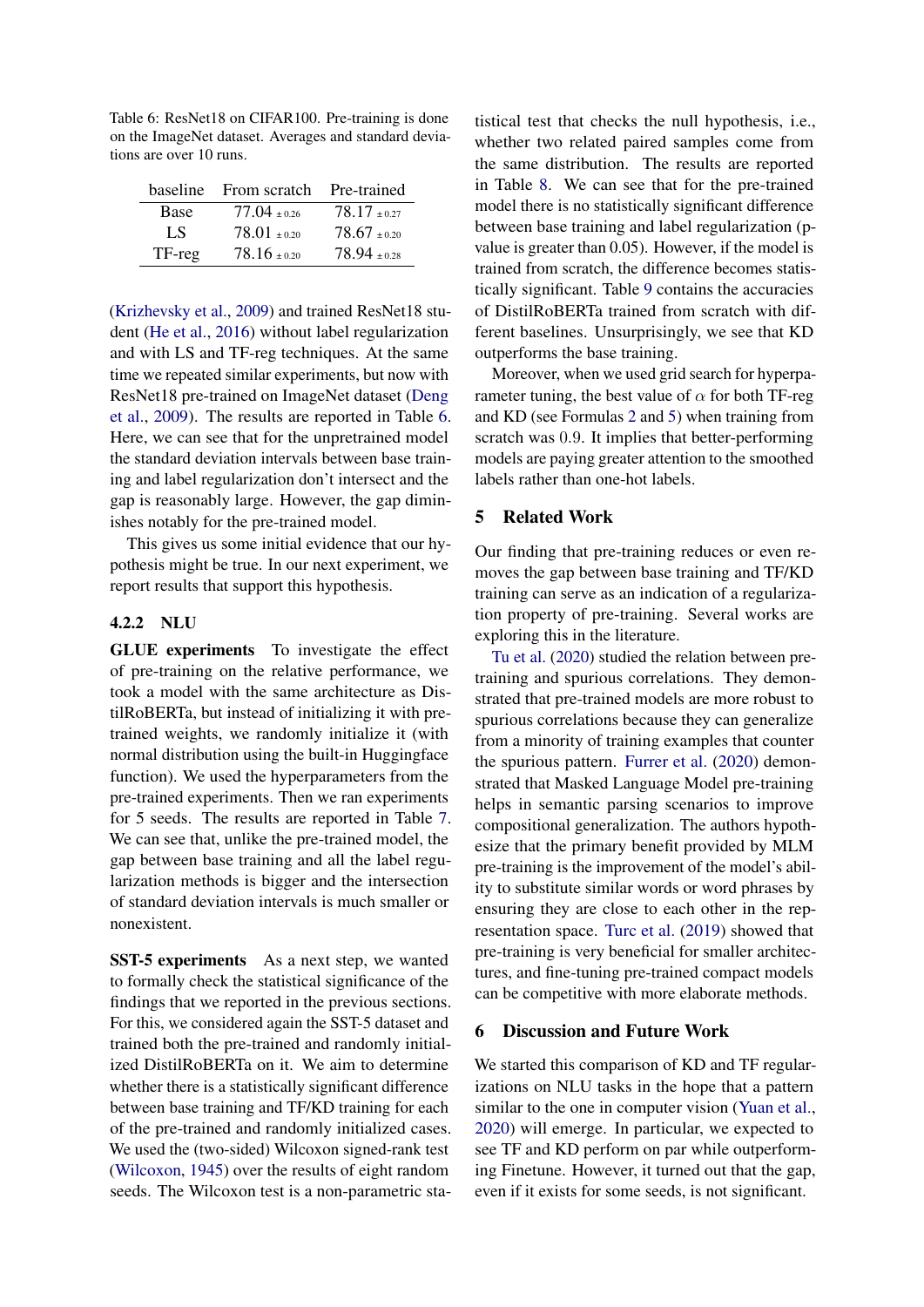<span id="page-6-0"></span>Table 6: ResNet18 on CIFAR100. Pre-training is done on the ImageNet dataset. Averages and standard deviations are over 10 runs.

|        | baseline From scratch | Pre-trained    |
|--------|-----------------------|----------------|
| Base   | $77.04 + 0.26$        | $78.17 + 0.27$ |
| LS.    | $78.01 + 0.20$        | $78.67 + 0.20$ |
| TF-reg | $78.16 \pm 0.20$      | $78.94 + 0.28$ |

[\(Krizhevsky et al.,](#page-8-15) [2009\)](#page-8-15) and trained ResNet18 student [\(He et al.,](#page-8-16) [2016\)](#page-8-16) without label regularization and with LS and TF-reg techniques. At the same time we repeated similar experiments, but now with ResNet18 pre-trained on ImageNet dataset [\(Deng](#page-8-17) [et al.,](#page-8-17) [2009\)](#page-8-17). The results are reported in Table [6.](#page-6-0) Here, we can see that for the unpretrained model the standard deviation intervals between base training and label regularization don't intersect and the gap is reasonably large. However, the gap diminishes notably for the pre-trained model.

This gives us some initial evidence that our hypothesis might be true. In our next experiment, we report results that support this hypothesis.

### 4.2.2 NLU

GLUE experiments To investigate the effect of pre-training on the relative performance, we took a model with the same architecture as DistilRoBERTa, but instead of initializing it with pretrained weights, we randomly initialize it (with normal distribution using the built-in Huggingface function). We used the hyperparameters from the pre-trained experiments. Then we ran experiments for 5 seeds. The results are reported in Table [7.](#page-7-0) We can see that, unlike the pre-trained model, the gap between base training and all the label regularization methods is bigger and the intersection of standard deviation intervals is much smaller or nonexistent.

SST-5 experiments As a next step, we wanted to formally check the statistical significance of the findings that we reported in the previous sections. For this, we considered again the SST-5 dataset and trained both the pre-trained and randomly initialized DistilRoBERTa on it. We aim to determine whether there is a statistically significant difference between base training and TF/KD training for each of the pre-trained and randomly initialized cases. We used the (two-sided) Wilcoxon signed-rank test [\(Wilcoxon,](#page-9-11) [1945\)](#page-9-11) over the results of eight random seeds. The Wilcoxon test is a non-parametric statistical test that checks the null hypothesis, i.e., whether two related paired samples come from the same distribution. The results are reported in Table [8.](#page-7-1) We can see that for the pre-trained model there is no statistically significant difference between base training and label regularization (pvalue is greater than 0.05). However, if the model is trained from scratch, the difference becomes statistically significant. Table [9](#page-7-2) contains the accuracies of DistilRoBERTa trained from scratch with different baselines. Unsurprisingly, we see that KD outperforms the base training.

Moreover, when we used grid search for hyperparameter tuning, the best value of  $\alpha$  for both TF-reg and KD (see Formulas [2](#page-2-2) and [5\)](#page-2-3) when training from scratch was 0.9. It implies that better-performing models are paying greater attention to the smoothed labels rather than one-hot labels.

## 5 Related Work

Our finding that pre-training reduces or even removes the gap between base training and TF/KD training can serve as an indication of a regularization property of pre-training. Several works are exploring this in the literature.

[Tu et al.](#page-9-12) [\(2020\)](#page-9-12) studied the relation between pretraining and spurious correlations. They demonstrated that pre-trained models are more robust to spurious correlations because they can generalize from a minority of training examples that counter the spurious pattern. [Furrer et al.](#page-8-18) [\(2020\)](#page-8-18) demonstrated that Masked Language Model pre-training helps in semantic parsing scenarios to improve compositional generalization. The authors hypothesize that the primary benefit provided by MLM pre-training is the improvement of the model's ability to substitute similar words or word phrases by ensuring they are close to each other in the representation space. [Turc et al.](#page-9-7) [\(2019\)](#page-9-7) showed that pre-training is very beneficial for smaller architectures, and fine-tuning pre-trained compact models can be competitive with more elaborate methods.

#### 6 Discussion and Future Work

We started this comparison of KD and TF regularizations on NLU tasks in the hope that a pattern similar to the one in computer vision [\(Yuan et al.,](#page-9-4) [2020\)](#page-9-4) will emerge. In particular, we expected to see TF and KD perform on par while outperforming Finetune. However, it turned out that the gap, even if it exists for some seeds, is not significant.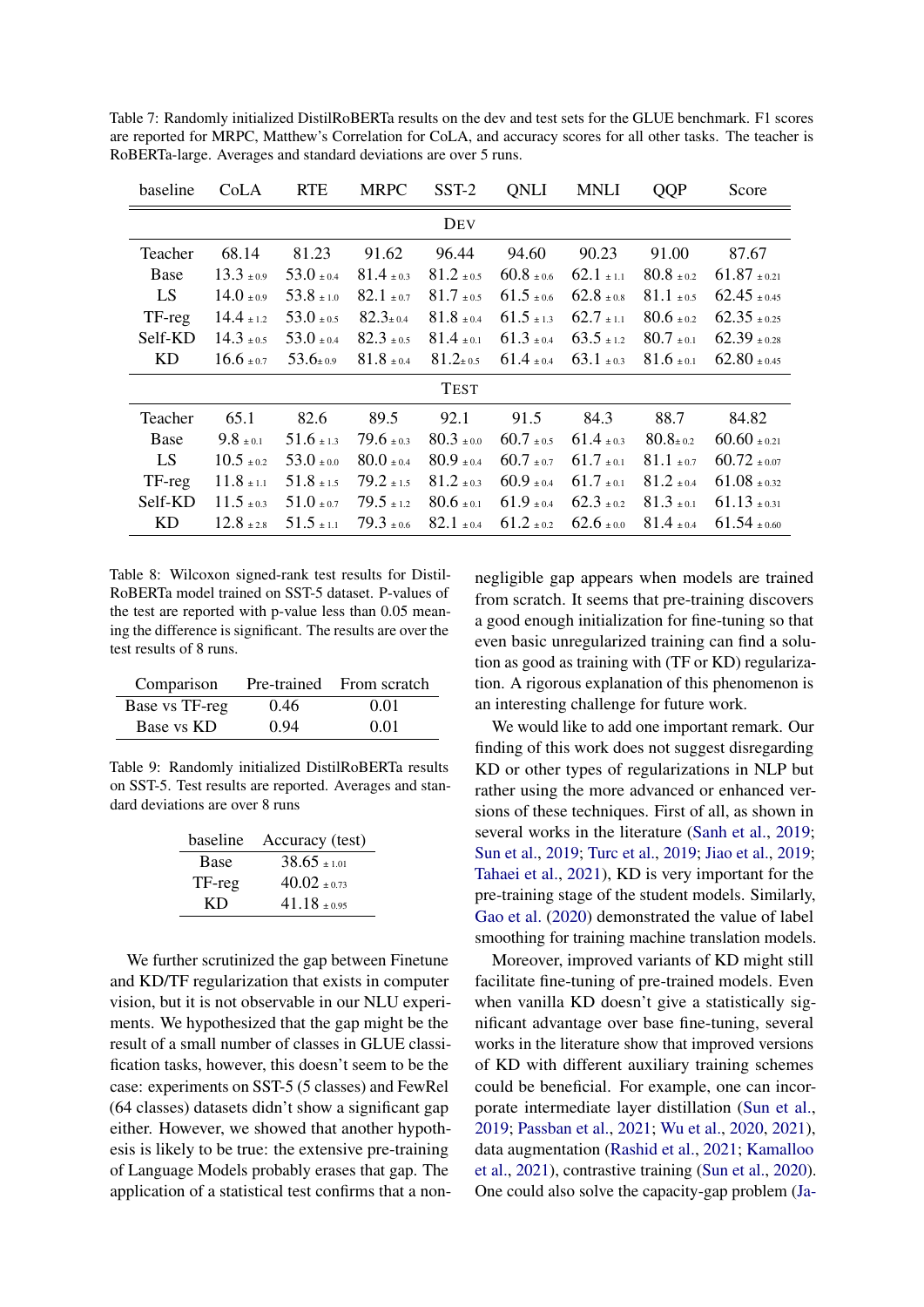| baseline  | CoLA                          | <b>RTE</b>                    | <b>MRPC</b>                   | SST-2                         | <b>ONLI</b>                   | <b>MNLI</b>                   | <b>QQP</b>                    | Score            |
|-----------|-------------------------------|-------------------------------|-------------------------------|-------------------------------|-------------------------------|-------------------------------|-------------------------------|------------------|
|           |                               |                               |                               | DEV                           |                               |                               |                               |                  |
| Teacher   | 68.14                         | 81.23                         | 91.62                         | 96.44                         | 94.60                         | 90.23                         | 91.00                         | 87.67            |
| Base      | $13.3{\scriptstyle~ \pm 0.9}$ | $53.0 \pm 0.4$                | $81.4{\scriptstyle~ \pm 0.3}$ | $81.2 \pm 0.5$                | $60.8{\scriptstyle~ \pm 0.6}$ | $62.1 \pm 1.1$                | $80.8{\scriptstyle~ \pm 0.2}$ | $61.87 \pm 0.21$ |
| LS        | $14.0 \pm 0.9$                | $53.8{\scriptstyle~ \pm 1.0}$ | $82.1 \pm 0.7$                | $81.7{\scriptstyle~ \pm 0.5}$ | $61.5{\scriptstyle~ \pm 0.6}$ | $62.8{\scriptstyle~ \pm 0.8}$ | $81.1 \pm 0.5$                | $62.45 \pm 0.45$ |
| TF-reg    | $14.4 \pm 1.2$                | $53.0 \pm 0.5$                | $82.3{\scriptstyle \pm0.4}$   | $81.8{\scriptstyle~ \pm 0.4}$ | $61.5{\scriptstyle~ \pm 1.3}$ | $62.7{\scriptstyle~ \pm 1.1}$ | $80.6 \pm 0.2$                | $62.35 \pm 0.25$ |
| Self-KD   | $14.3 \pm 0.5$                | $53.0 + 0.4$                  | $82.3 + 0.5$                  | $81.4 + 0.1$                  | $61.3 + 0.4$                  | $63.5 + 12$                   | $80.7{\scriptstyle~ \pm 0.1}$ | $62.39 \pm 0.28$ |
| <b>KD</b> | $16.6 \pm 0.7$                | $53.6{\scriptstyle \pm 0.9}$  | $81.8{\scriptstyle~ \pm 0.4}$ | $81.2{\scriptstyle \pm 0.5}$  | $61.4{\scriptstyle~ \pm 0.4}$ | $63.1 \pm 0.3$                | $81.6{\scriptstyle~ \pm 0.1}$ | $62.80 \pm 0.45$ |
|           |                               |                               |                               | <b>TEST</b>                   |                               |                               |                               |                  |
| Teacher   | 65.1                          | 82.6                          | 89.5                          | 92.1                          | 91.5                          | 84.3                          | 88.7                          | 84.82            |
| Base      | $9.8{\scriptstyle~ \pm 0.1}$  | $51.6{\scriptstyle~ \pm 1.3}$ | $79.6{\scriptstyle~ \pm 0.3}$ | $80.3 \pm 0.0$                | $60.7 \pm 0.5$                | $61.4{\scriptstyle~ \pm 0.3}$ | $80.8{\scriptstyle \pm\,0.2}$ | $60.60 \pm 0.21$ |
| LS        | $10.5 + 0.2$                  | $53.0 + 0.0$                  | $80.0 + 0.4$                  | $80.9{\scriptstyle~ \pm 0.4}$ | $60.7{\scriptstyle~ \pm 0.7}$ | $61.7{\scriptstyle~ \pm 0.1}$ | $81.1 \pm 0.7$                | $60.72 \pm 0.07$ |
| TF-reg    | $11.8{\scriptstyle~ \pm 1.1}$ | $51.8 \pm 1.5$                | $79.2 \pm 1.5$                | $81.2{\scriptstyle~ \pm 0.3}$ | $60.9{\scriptstyle~ \pm 0.4}$ | $61.7{\scriptstyle~ \pm 0.1}$ | $81.2 \pm 0.4$                | $61.08 \pm 0.32$ |
| Self-KD   | $11.5 \pm 0.3$                | $51.0 \pm 0.7$                | $79.5 \pm 1.2$                | $80.6{\scriptstyle~ \pm 0.1}$ | $61.9{\scriptstyle~ \pm 0.4}$ | $62.3 \pm 0.2$                | $81.3 \pm 0.1$                | $61.13 \pm 0.31$ |
| KD        | $12.8{\scriptstyle~ \pm 2.8}$ | $51.5{\scriptstyle~ \pm 1.1}$ | $79.3 \pm 0.6$                | $82.1 \pm 0.4$                | $61.2 \pm 0.2$                | $62.6 \pm 0.0$                | $81.4 \pm 0.4$                | $61.54 \pm 0.60$ |

<span id="page-7-0"></span>Table 7: Randomly initialized DistilRoBERTa results on the dev and test sets for the GLUE benchmark. F1 scores are reported for MRPC, Matthew's Correlation for CoLA, and accuracy scores for all other tasks. The teacher is RoBERTa-large. Averages and standard deviations are over 5 runs.

<span id="page-7-1"></span>Table 8: Wilcoxon signed-rank test results for Distil-RoBERTa model trained on SST-5 dataset. P-values of the test are reported with p-value less than 0.05 meaning the difference is significant. The results are over the test results of 8 runs.

| Comparison     |      | Pre-trained From scratch |
|----------------|------|--------------------------|
| Base vs TF-reg | 0.46 | 0.01                     |
| Base vs KD     | 0.94 | 0.01                     |

<span id="page-7-2"></span>Table 9: Randomly initialized DistilRoBERTa results on SST-5. Test results are reported. Averages and standard deviations are over 8 runs

|             | baseline Accuracy (test) |
|-------------|--------------------------|
| <b>Base</b> | $38.65 + 1.01$           |
| TF-reg      | $40.02 + 0.73$           |
| КĐ          | $41.18 + 0.95$           |

We further scrutinized the gap between Finetune and KD/TF regularization that exists in computer vision, but it is not observable in our NLU experiments. We hypothesized that the gap might be the result of a small number of classes in GLUE classification tasks, however, this doesn't seem to be the case: experiments on SST-5 (5 classes) and FewRel (64 classes) datasets didn't show a significant gap either. However, we showed that another hypothesis is likely to be true: the extensive pre-training of Language Models probably erases that gap. The application of a statistical test confirms that a nonnegligible gap appears when models are trained from scratch. It seems that pre-training discovers a good enough initialization for fine-tuning so that even basic unregularized training can find a solution as good as training with (TF or KD) regularization. A rigorous explanation of this phenomenon is an interesting challenge for future work.

We would like to add one important remark. Our finding of this work does not suggest disregarding KD or other types of regularizations in NLP but rather using the more advanced or enhanced versions of these techniques. First of all, as shown in several works in the literature [\(Sanh et al.,](#page-9-3) [2019;](#page-9-3) [Sun et al.,](#page-9-13) [2019;](#page-9-13) [Turc et al.,](#page-9-7) [2019;](#page-9-7) [Jiao et al.,](#page-8-5) [2019;](#page-8-5) [Tahaei et al.,](#page-9-14) [2021\)](#page-9-14), KD is very important for the pre-training stage of the student models. Similarly, [Gao et al.](#page-8-19) [\(2020\)](#page-8-19) demonstrated the value of label smoothing for training machine translation models.

Moreover, improved variants of KD might still facilitate fine-tuning of pre-trained models. Even when vanilla KD doesn't give a statistically significant advantage over base fine-tuning, several works in the literature show that improved versions of KD with different auxiliary training schemes could be beneficial. For example, one can incorporate intermediate layer distillation [\(Sun et al.,](#page-9-13) [2019;](#page-9-13) [Passban et al.,](#page-9-15) [2021;](#page-9-15) [Wu et al.,](#page-9-16) [2020,](#page-9-16) [2021\)](#page-9-17), data augmentation [\(Rashid et al.,](#page-9-18) [2021;](#page-9-18) [Kamalloo](#page-8-20) [et al.,](#page-8-20) [2021\)](#page-8-20), contrastive training [\(Sun et al.,](#page-9-19) [2020\)](#page-9-19). One could also solve the capacity-gap problem [\(Ja-](#page-8-6)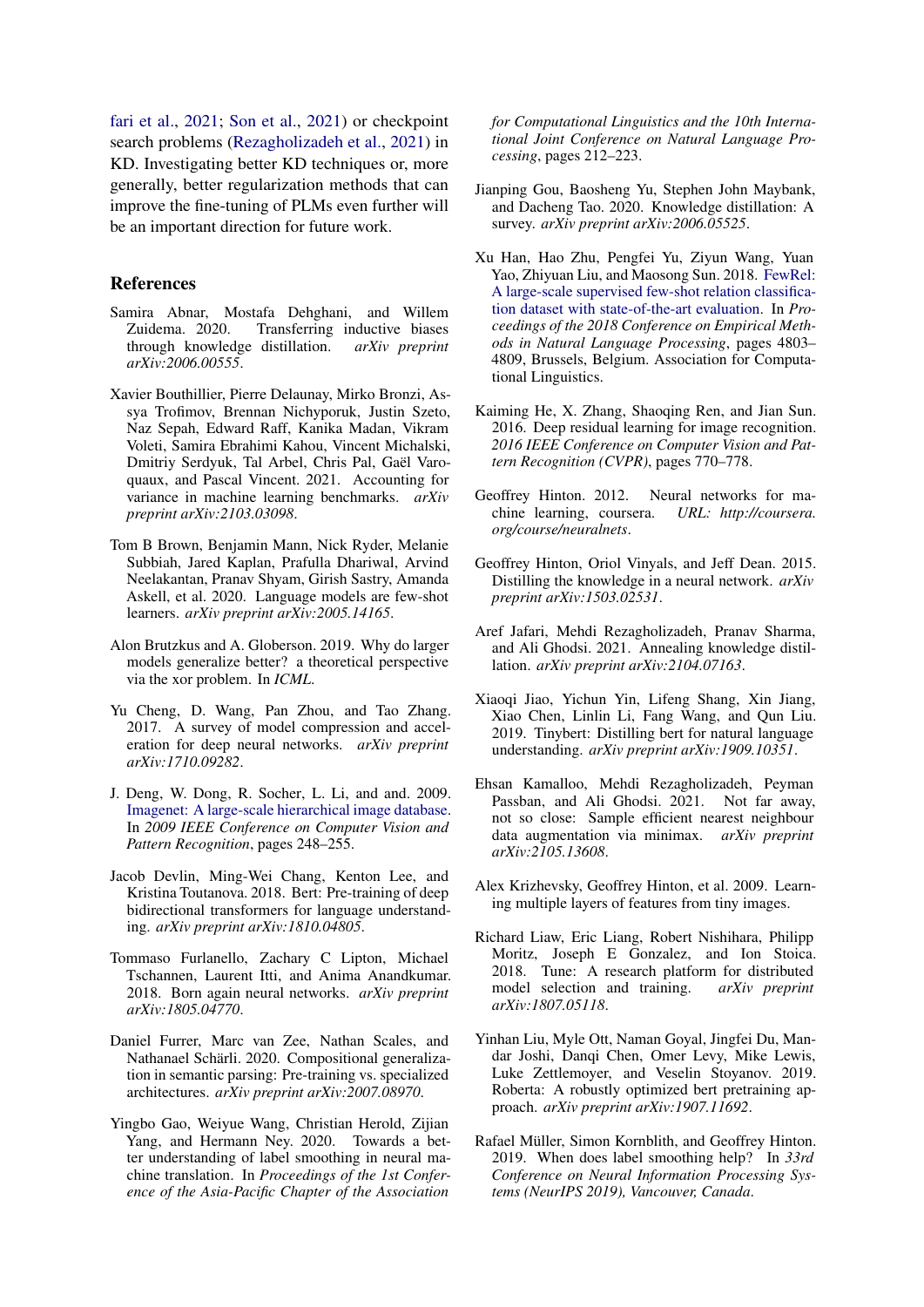[fari et al.,](#page-8-6) [2021;](#page-8-6) [Son et al.,](#page-9-20) [2021\)](#page-9-20) or checkpoint search problems [\(Rezagholizadeh et al.,](#page-9-21) [2021\)](#page-9-21) in KD. Investigating better KD techniques or, more generally, better regularization methods that can improve the fine-tuning of PLMs even further will be an important direction for future work.

#### References

- <span id="page-8-8"></span>Samira Abnar, Mostafa Dehghani, and Willem Zuidema. 2020. Transferring inductive biases through knowledge distillation. *arXiv preprint arXiv:2006.00555*.
- <span id="page-8-14"></span>Xavier Bouthillier, Pierre Delaunay, Mirko Bronzi, Assya Trofimov, Brennan Nichyporuk, Justin Szeto, Naz Sepah, Edward Raff, Kanika Madan, Vikram Voleti, Samira Ebrahimi Kahou, Vincent Michalski, Dmitriy Serdyuk, Tal Arbel, Chris Pal, Gaël Varoquaux, and Pascal Vincent. 2021. Accounting for variance in machine learning benchmarks. *arXiv preprint arXiv:2103.03098*.
- <span id="page-8-0"></span>Tom B Brown, Benjamin Mann, Nick Ryder, Melanie Subbiah, Jared Kaplan, Prafulla Dhariwal, Arvind Neelakantan, Pranav Shyam, Girish Sastry, Amanda Askell, et al. 2020. Language models are few-shot learners. *arXiv preprint arXiv:2005.14165*.
- <span id="page-8-1"></span>Alon Brutzkus and A. Globerson. 2019. Why do larger models generalize better? a theoretical perspective via the xor problem. In *ICML*.
- <span id="page-8-2"></span>Yu Cheng, D. Wang, Pan Zhou, and Tao Zhang. 2017. A survey of model compression and acceleration for deep neural networks. *arXiv preprint arXiv:1710.09282*.
- <span id="page-8-17"></span>J. Deng, W. Dong, R. Socher, L. Li, and and. 2009. [Imagenet: A large-scale hierarchical image database.](https://doi.org/10.1109/CVPR.2009.5206848) In *2009 IEEE Conference on Computer Vision and Pattern Recognition*, pages 248–255.
- <span id="page-8-12"></span>Jacob Devlin, Ming-Wei Chang, Kenton Lee, and Kristina Toutanova. 2018. Bert: Pre-training of deep bidirectional transformers for language understanding. *arXiv preprint arXiv:1810.04805*.
- <span id="page-8-10"></span>Tommaso Furlanello, Zachary C Lipton, Michael Tschannen, Laurent Itti, and Anima Anandkumar. 2018. Born again neural networks. *arXiv preprint arXiv:1805.04770*.
- <span id="page-8-18"></span>Daniel Furrer, Marc van Zee, Nathan Scales, and Nathanael Schärli. 2020. Compositional generalization in semantic parsing: Pre-training vs. specialized architectures. *arXiv preprint arXiv:2007.08970*.
- <span id="page-8-19"></span>Yingbo Gao, Weiyue Wang, Christian Herold, Zijian Yang, and Hermann Ney. 2020. Towards a better understanding of label smoothing in neural machine translation. In *Proceedings of the 1st Conference of the Asia-Pacific Chapter of the Association*

*for Computational Linguistics and the 10th International Joint Conference on Natural Language Processing*, pages 212–223.

- <span id="page-8-4"></span>Jianping Gou, Baosheng Yu, Stephen John Maybank, and Dacheng Tao. 2020. Knowledge distillation: A survey. *arXiv preprint arXiv:2006.05525*.
- <span id="page-8-13"></span>Xu Han, Hao Zhu, Pengfei Yu, Ziyun Wang, Yuan Yao, Zhiyuan Liu, and Maosong Sun. 2018. [FewRel:](https://doi.org/10.18653/v1/D18-1514) [A large-scale supervised few-shot relation classifica](https://doi.org/10.18653/v1/D18-1514)[tion dataset with state-of-the-art evaluation.](https://doi.org/10.18653/v1/D18-1514) In *Proceedings of the 2018 Conference on Empirical Methods in Natural Language Processing*, pages 4803– 4809, Brussels, Belgium. Association for Computational Linguistics.
- <span id="page-8-16"></span>Kaiming He, X. Zhang, Shaoqing Ren, and Jian Sun. 2016. Deep residual learning for image recognition. *2016 IEEE Conference on Computer Vision and Pattern Recognition (CVPR)*, pages 770–778.
- <span id="page-8-7"></span>Geoffrey Hinton. 2012. Neural networks for machine learning, coursera. *URL: http://coursera. org/course/neuralnets*.
- <span id="page-8-3"></span>Geoffrey Hinton, Oriol Vinyals, and Jeff Dean. 2015. Distilling the knowledge in a neural network. *arXiv preprint arXiv:1503.02531*.
- <span id="page-8-6"></span>Aref Jafari, Mehdi Rezagholizadeh, Pranav Sharma, and Ali Ghodsi. 2021. Annealing knowledge distillation. *arXiv preprint arXiv:2104.07163*.
- <span id="page-8-5"></span>Xiaoqi Jiao, Yichun Yin, Lifeng Shang, Xin Jiang, Xiao Chen, Linlin Li, Fang Wang, and Qun Liu. 2019. Tinybert: Distilling bert for natural language understanding. *arXiv preprint arXiv:1909.10351*.
- <span id="page-8-20"></span>Ehsan Kamalloo, Mehdi Rezagholizadeh, Peyman Passban, and Ali Ghodsi. 2021. Not far away, not so close: Sample efficient nearest neighbour data augmentation via minimax. *arXiv preprint arXiv:2105.13608*.
- <span id="page-8-15"></span>Alex Krizhevsky, Geoffrey Hinton, et al. 2009. Learning multiple layers of features from tiny images.
- <span id="page-8-21"></span>Richard Liaw, Eric Liang, Robert Nishihara, Philipp Moritz, Joseph E Gonzalez, and Ion Stoica. 2018. Tune: A research platform for distributed model selection and training. *arXiv preprint arXiv:1807.05118*.
- <span id="page-8-11"></span>Yinhan Liu, Myle Ott, Naman Goyal, Jingfei Du, Mandar Joshi, Danqi Chen, Omer Levy, Mike Lewis, Luke Zettlemoyer, and Veselin Stoyanov. 2019. Roberta: A robustly optimized bert pretraining approach. *arXiv preprint arXiv:1907.11692*.
- <span id="page-8-9"></span>Rafael Müller, Simon Kornblith, and Geoffrey Hinton. 2019. When does label smoothing help? In *33rd Conference on Neural Information Processing Systems (NeurIPS 2019), Vancouver, Canada*.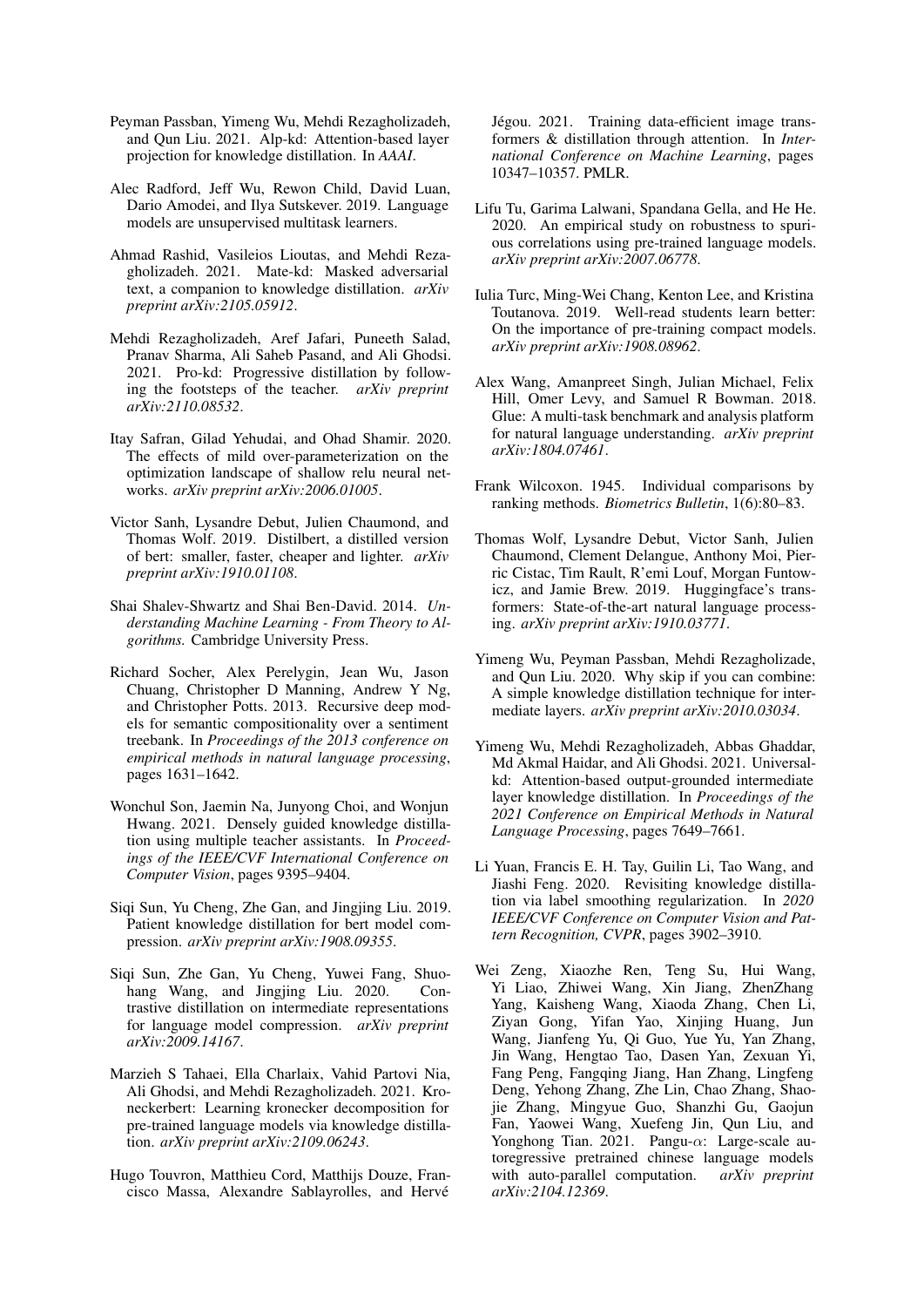- <span id="page-9-15"></span>Peyman Passban, Yimeng Wu, Mehdi Rezagholizadeh, and Qun Liu. 2021. Alp-kd: Attention-based layer projection for knowledge distillation. In *AAAI*.
- <span id="page-9-8"></span>Alec Radford, Jeff Wu, Rewon Child, David Luan, Dario Amodei, and Ilya Sutskever. 2019. Language models are unsupervised multitask learners.
- <span id="page-9-18"></span>Ahmad Rashid, Vasileios Lioutas, and Mehdi Rezagholizadeh. 2021. Mate-kd: Masked adversarial text, a companion to knowledge distillation. *arXiv preprint arXiv:2105.05912*.
- <span id="page-9-21"></span>Mehdi Rezagholizadeh, Aref Jafari, Puneeth Salad, Pranav Sharma, Ali Saheb Pasand, and Ali Ghodsi. 2021. Pro-kd: Progressive distillation by following the footsteps of the teacher. *arXiv preprint arXiv:2110.08532*.
- <span id="page-9-2"></span>Itay Safran, Gilad Yehudai, and Ohad Shamir. 2020. The effects of mild over-parameterization on the optimization landscape of shallow relu neural networks. *arXiv preprint arXiv:2006.01005*.
- <span id="page-9-3"></span>Victor Sanh, Lysandre Debut, Julien Chaumond, and Thomas Wolf. 2019. Distilbert, a distilled version of bert: smaller, faster, cheaper and lighter. *arXiv preprint arXiv:1910.01108*.
- <span id="page-9-1"></span>Shai Shalev-Shwartz and Shai Ben-David. 2014. *Understanding Machine Learning - From Theory to Algorithms.* Cambridge University Press.
- <span id="page-9-10"></span>Richard Socher, Alex Perelygin, Jean Wu, Jason Chuang, Christopher D Manning, Andrew Y Ng, and Christopher Potts. 2013. Recursive deep models for semantic compositionality over a sentiment treebank. In *Proceedings of the 2013 conference on empirical methods in natural language processing*, pages 1631–1642.
- <span id="page-9-20"></span>Wonchul Son, Jaemin Na, Junyong Choi, and Wonjun Hwang. 2021. Densely guided knowledge distillation using multiple teacher assistants. In *Proceedings of the IEEE/CVF International Conference on Computer Vision*, pages 9395–9404.
- <span id="page-9-13"></span>Siqi Sun, Yu Cheng, Zhe Gan, and Jingjing Liu. 2019. Patient knowledge distillation for bert model compression. *arXiv preprint arXiv:1908.09355*.
- <span id="page-9-19"></span>Siqi Sun, Zhe Gan, Yu Cheng, Yuwei Fang, Shuohang Wang, and Jingjing Liu. 2020. Contrastive distillation on intermediate representations for language model compression. *arXiv preprint arXiv:2009.14167*.
- <span id="page-9-14"></span>Marzieh S Tahaei, Ella Charlaix, Vahid Partovi Nia, Ali Ghodsi, and Mehdi Rezagholizadeh. 2021. Kroneckerbert: Learning kronecker decomposition for pre-trained language models via knowledge distillation. *arXiv preprint arXiv:2109.06243*.
- <span id="page-9-5"></span>Hugo Touvron, Matthieu Cord, Matthijs Douze, Francisco Massa, Alexandre Sablayrolles, and Hervé

Jégou. 2021. Training data-efficient image transformers & distillation through attention. In *International Conference on Machine Learning*, pages 10347–10357. PMLR.

- <span id="page-9-12"></span>Lifu Tu, Garima Lalwani, Spandana Gella, and He He. 2020. An empirical study on robustness to spurious correlations using pre-trained language models. *arXiv preprint arXiv:2007.06778*.
- <span id="page-9-7"></span>Iulia Turc, Ming-Wei Chang, Kenton Lee, and Kristina Toutanova. 2019. Well-read students learn better: On the importance of pre-training compact models. *arXiv preprint arXiv:1908.08962*.
- <span id="page-9-6"></span>Alex Wang, Amanpreet Singh, Julian Michael, Felix Hill, Omer Levy, and Samuel R Bowman. 2018. Glue: A multi-task benchmark and analysis platform for natural language understanding. *arXiv preprint arXiv:1804.07461*.
- <span id="page-9-11"></span>Frank Wilcoxon. 1945. Individual comparisons by ranking methods. *Biometrics Bulletin*, 1(6):80–83.
- <span id="page-9-9"></span>Thomas Wolf, Lysandre Debut, Victor Sanh, Julien Chaumond, Clement Delangue, Anthony Moi, Pierric Cistac, Tim Rault, R'emi Louf, Morgan Funtowicz, and Jamie Brew. 2019. Huggingface's transformers: State-of-the-art natural language processing. *arXiv preprint arXiv:1910.03771*.
- <span id="page-9-16"></span>Yimeng Wu, Peyman Passban, Mehdi Rezagholizade, and Qun Liu. 2020. Why skip if you can combine: A simple knowledge distillation technique for intermediate layers. *arXiv preprint arXiv:2010.03034*.
- <span id="page-9-17"></span>Yimeng Wu, Mehdi Rezagholizadeh, Abbas Ghaddar, Md Akmal Haidar, and Ali Ghodsi. 2021. Universalkd: Attention-based output-grounded intermediate layer knowledge distillation. In *Proceedings of the 2021 Conference on Empirical Methods in Natural Language Processing*, pages 7649–7661.
- <span id="page-9-4"></span>Li Yuan, Francis E. H. Tay, Guilin Li, Tao Wang, and Jiashi Feng. 2020. Revisiting knowledge distillation via label smoothing regularization. In *2020 IEEE/CVF Conference on Computer Vision and Pattern Recognition, CVPR*, pages 3902–3910.
- <span id="page-9-0"></span>Wei Zeng, Xiaozhe Ren, Teng Su, Hui Wang, Yi Liao, Zhiwei Wang, Xin Jiang, ZhenZhang Yang, Kaisheng Wang, Xiaoda Zhang, Chen Li, Ziyan Gong, Yifan Yao, Xinjing Huang, Jun Wang, Jianfeng Yu, Qi Guo, Yue Yu, Yan Zhang, Jin Wang, Hengtao Tao, Dasen Yan, Zexuan Yi, Fang Peng, Fangqing Jiang, Han Zhang, Lingfeng Deng, Yehong Zhang, Zhe Lin, Chao Zhang, Shaojie Zhang, Mingyue Guo, Shanzhi Gu, Gaojun Fan, Yaowei Wang, Xuefeng Jin, Qun Liu, and Yonghong Tian. 2021. Pangu-α: Large-scale autoregressive pretrained chinese language models with auto-parallel computation. *arXiv preprint arXiv:2104.12369*.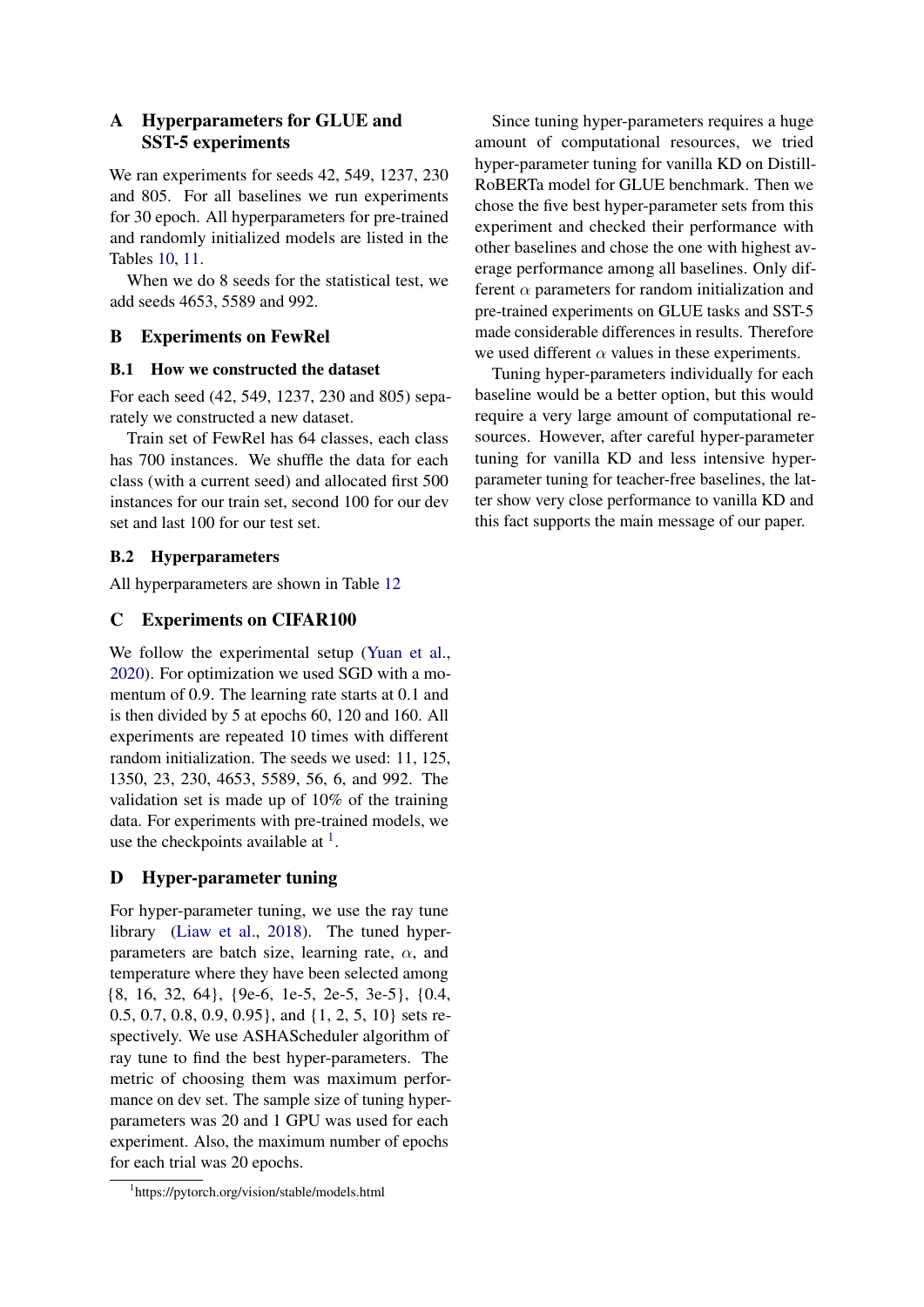# A Hyperparameters for GLUE and SST-5 experiments

We ran experiments for seeds 42, 549, 1237, 230 and 805. For all baselines we run experiments for 30 epoch. All hyperparameters for pre-trained and randomly initialized models are listed in the Tables [10,](#page-11-0) [11.](#page-11-1)

When we do 8 seeds for the statistical test, we add seeds 4653, 5589 and 992.

# B Experiments on FewRel

## B.1 How we constructed the dataset

For each seed (42, 549, 1237, 230 and 805) separately we constructed a new dataset.

Train set of FewRel has 64 classes, each class has 700 instances. We shuffle the data for each class (with a current seed) and allocated first 500 instances for our train set, second 100 for our dev set and last 100 for our test set.

## B.2 Hyperparameters

All hyperparameters are shown in Table [12](#page-11-2)

## C Experiments on CIFAR100

We follow the experimental setup [\(Yuan et al.,](#page-9-4) [2020\)](#page-9-4). For optimization we used SGD with a momentum of 0.9. The learning rate starts at 0.1 and is then divided by 5 at epochs 60, 120 and 160. All experiments are repeated 10 times with different random initialization. The seeds we used: 11, 125, 1350, 23, 230, 4653, 5589, 56, 6, and 992. The validation set is made up of 10% of the training data. For experiments with pre-trained models, we use the checkpoints available at  $<sup>1</sup>$  $<sup>1</sup>$  $<sup>1</sup>$ .</sup>

# D Hyper-parameter tuning

For hyper-parameter tuning, we use the ray tune library [\(Liaw et al.,](#page-8-21) [2018\)](#page-8-21). The tuned hyperparameters are batch size, learning rate,  $\alpha$ , and temperature where they have been selected among {8, 16, 32, 64}, {9e-6, 1e-5, 2e-5, 3e-5}, {0.4, 0.5, 0.7, 0.8, 0.9, 0.95}, and {1, 2, 5, 10} sets respectively. We use ASHAScheduler algorithm of ray tune to find the best hyper-parameters. The metric of choosing them was maximum performance on dev set. The sample size of tuning hyperparameters was 20 and 1 GPU was used for each experiment. Also, the maximum number of epochs for each trial was 20 epochs.

Since tuning hyper-parameters requires a huge amount of computational resources, we tried hyper-parameter tuning for vanilla KD on Distill-RoBERTa model for GLUE benchmark. Then we chose the five best hyper-parameter sets from this experiment and checked their performance with other baselines and chose the one with highest average performance among all baselines. Only different  $\alpha$  parameters for random initialization and pre-trained experiments on GLUE tasks and SST-5 made considerable differences in results. Therefore we used different  $\alpha$  values in these experiments.

Tuning hyper-parameters individually for each baseline would be a better option, but this would require a very large amount of computational resources. However, after careful hyper-parameter tuning for vanilla KD and less intensive hyperparameter tuning for teacher-free baselines, the latter show very close performance to vanilla KD and this fact supports the main message of our paper.

<span id="page-10-0"></span><sup>1</sup> https://pytorch.org/vision/stable/models.html